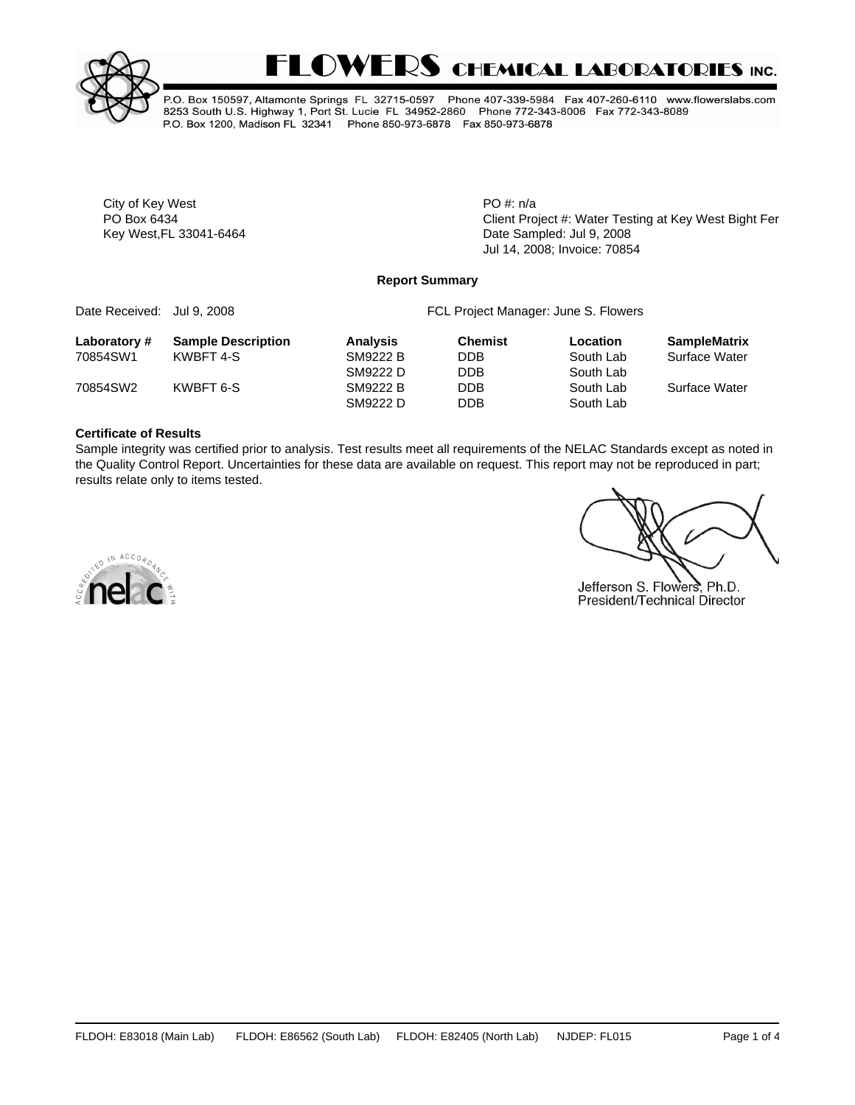



P.O. Box 150597, Altamonte Springs FL 32715-0597 Phone 407-339-5984 Fax 407-260-6110 www.flowerslabs.com 8253 South U.S. Highway 1, Port St. Lucie FL 34952-2860 Phone 772-343-8006 Fax 772-343-8089 P.O. Box 1200, Madison FL 32341 Phone 850-973-6878 Fax 850-973-6878

City of Key West **PO** #: n/a

PO Box 6434 **PO Box 6434** Client Project #: Water Testing at Key West Bight Fer Key West,FL 33041-6464 **Date Sampled: Jul 9, 2008** Jul 14, 2008; Invoice: 70854

#### **Report Summary**

| Date Received: Jul 9, 2008 |                           | FCL Project Manager: June S. Flowers |                |           |                     |  |  |
|----------------------------|---------------------------|--------------------------------------|----------------|-----------|---------------------|--|--|
| Laboratory#                | <b>Sample Description</b> | <b>Analysis</b>                      | <b>Chemist</b> | Location  | <b>SampleMatrix</b> |  |  |
| 70854SW1                   | KWBFT 4-S                 | SM9222 B                             | <b>DDB</b>     | South Lab | Surface Water       |  |  |
|                            |                           | SM9222 D                             | <b>DDB</b>     | South Lab |                     |  |  |
| 70854SW2                   | KWBFT 6-S                 | SM9222 B                             | <b>DDB</b>     | South Lab | Surface Water       |  |  |
|                            |                           | SM9222 D                             | <b>DDB</b>     | South Lab |                     |  |  |

#### **Certificate of Results**

Sample integrity was certified prior to analysis. Test results meet all requirements of the NELAC Standards except as noted in the Quality Control Report. Uncertainties for these data are available on request. This report may not be reproduced in part; results relate only to items tested.

Jefferson S. Flowers, Ph.D. President/Technical Director

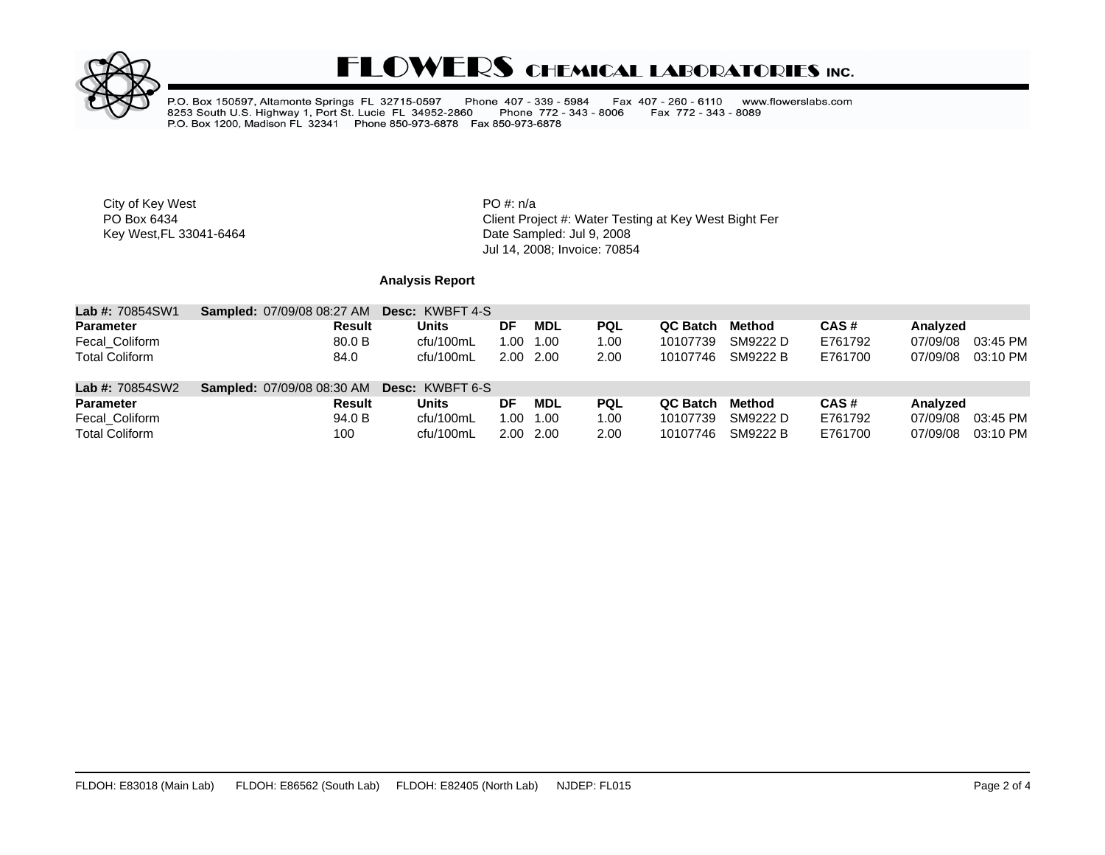

# **FLOWERS CHEMICAL LABORATORIES INC.**

P.O. Box 150597, Altamonte Springs FL 32715-0597 Phone 407 - 339 - 5984<br>8253 South U.S. Highway 1, Port St. Lucie FL 34952-2860 Phone 772 - 343<br>P.O. Box 1200, Madison FL 32341 Phone 850-973-6878 Fax 850-973-6878 Fax 407 - 260 - 6110 www.flowerslabs.com Fax 772 - 343 - 8089 Phone 772 - 343 - 8006

City of Key West **PO** #: n/a

PO Box 6434<br>
Rey West, FL 33041-6464 Client Project #: Water Testing at Key West Bight Fer<br>
Client Project #: Water Testing at Key West Bight Ferry Term. Date Sampled: Jul 9, 2008 Jul 14, 2008; Invoice: 70854

## **Analysis Report**

| <b>Lab #: 70854SW1</b> | <b>Sampled: 07/09/08 08:27 AM</b>                 | <b>Desc: KWBFT 4-S</b> |    |           |            |          |          |         |          |          |
|------------------------|---------------------------------------------------|------------------------|----|-----------|------------|----------|----------|---------|----------|----------|
| <b>Parameter</b>       | Result                                            | <b>Units</b>           | DF | MDL       | <b>PQL</b> | QC Batch | Method   | CAS#    | Analyzed |          |
| Fecal Coliform         | 80.0 B                                            | cfu/100mL              |    | 1.00 1.00 | 1.00       | 10107739 | SM9222 D | E761792 | 07/09/08 | 03:45 PM |
| <b>Total Coliform</b>  | 84.0                                              | cfu/100mL              |    | 2.00 2.00 | 2.00       | 10107746 | SM9222 B | E761700 | 07/09/08 | 03:10 PM |
| <b>Lab #: 70854SW2</b> | <b>Sampled: 07/09/08 08:30 AM Desc: KWBFT 6-S</b> |                        |    |           |            |          |          |         |          |          |
| <b>Parameter</b>       | Result                                            | Units                  | DF | MDL       | <b>PQL</b> | QC Batch | Method   | CAS#    | Analyzed |          |
| Fecal Coliform         | 94.0 B                                            | cfu/100mL              |    | 1.00 1.00 | 1.00       | 10107739 | SM9222 D | E761792 | 07/09/08 | 03:45 PM |
| <b>Total Coliform</b>  | 100                                               | cfu/100mL              |    | 2.00 2.00 | 2.00       | 10107746 | SM9222 B | E761700 | 07/09/08 | 03:10 PM |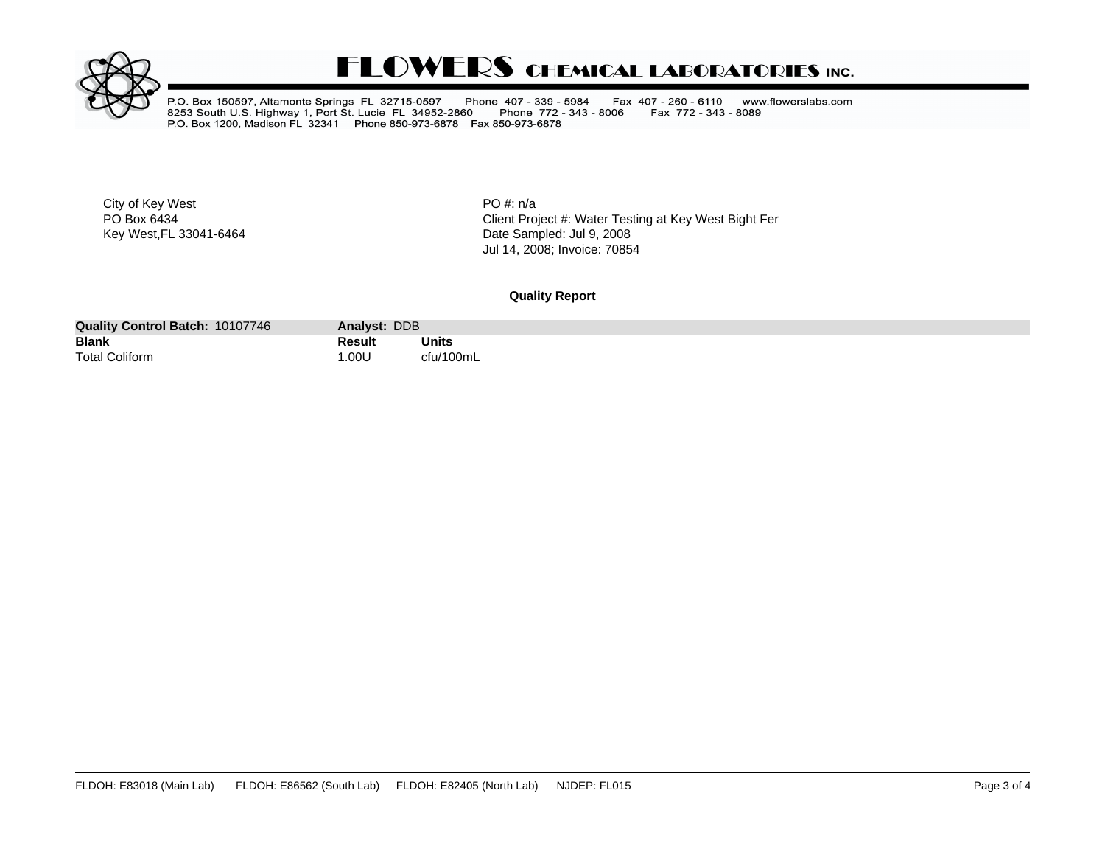

# **FLOWERS CHEMICAL LABORATORIES INC.**

P.O. Box 150597, Altamonte Springs FL 32715-0597 Phone 407 - 339 - 5984<br>8253 South U.S. Highway 1, Port St. Lucie FL 34952-2860 Phone 772 - 343<br>P.O. Box 1200, Madison FL 32341 Phone 850-973-6878 Fax 850-973-6878 Fax 407 - 260 - 6110 www.flowerslabs.com Fax 772 - 343 - 8089 Phone 772 - 343 - 8006

City of Key West **PO** #: n/a

PO Box 6434<br>
Rey West, FL 33041-6464 Client Project #: Water Testing at Key West Bight Fer<br>
Client Project #: Water Testing at Key West Bight Fer Date Sampled: Jul 9, 2008 Jul 14, 2008; Invoice: 70854

### **Quality Report**

| 10107746<br><b>Quality Control Batch:</b> | Analyst: DDB |           |
|-------------------------------------------|--------------|-----------|
| <b>Blank</b>                              | Result       | Units     |
|                                           |              | $ -$      |
| <b>Total Coliform</b>                     | .00U         | $'$ 100mL |
|                                           |              |           |